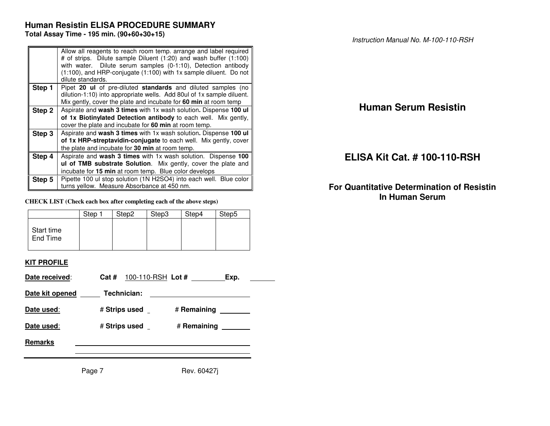## **Human Resistin ELISA PROCEDURE SUMMARY Total Assay Time - 195 min. (90+60+30+15)**

|        | Allow all reagents to reach room temp. arrange and label required<br># of strips. Dilute sample Diluent (1:20) and wash buffer (1:100)<br>with water. Dilute serum samples (0-1:10), Detection antibody<br>$(1:100)$ , and HRP-conjugate $(1:100)$ with 1x sample diluent. Do not<br>dilute standards. |
|--------|--------------------------------------------------------------------------------------------------------------------------------------------------------------------------------------------------------------------------------------------------------------------------------------------------------|
| Step 1 | Pipet 20 ul of pre-diluted standards and diluted samples (no<br>dilution-1:10) into appropriate wells. Add 80ul of 1x sample diluent.                                                                                                                                                                  |
|        | Mix gently, cover the plate and incubate for 60 min at room temp                                                                                                                                                                                                                                       |
| Step 2 | Aspirate and wash 3 times with 1x wash solution. Dispense 100 ul<br>of 1x Biotinylated Detection antibody to each well. Mix gently,<br>cover the plate and incubate for 60 min at room temp.                                                                                                           |
| Step 3 | Aspirate and wash 3 times with 1x wash solution. Dispense 100 ul<br>of 1x HRP-streptavidin-conjugate to each well. Mix gently, cover<br>the plate and incubate for 30 min at room temp.                                                                                                                |
| Step 4 | Aspirate and wash 3 times with 1x wash solution. Dispense 100<br><b>ul of TMB substrate Solution.</b> Mix gently, cover the plate and<br>incubate for 15 min at room temp. Blue color develops                                                                                                         |
| Step 5 | Pipette 100 ul stop solution (1N H2SO4) into each well. Blue color<br>turns yellow. Measure Absorbance at 450 nm.                                                                                                                                                                                      |

#### **CHECK LIST (Check each box after completing each of the above steps)**

|                        | Step 1 | Step2 | Step3 | Step4 | Step <sub>5</sub> |
|------------------------|--------|-------|-------|-------|-------------------|
| Start time<br>End Time |        |       |       |       |                   |

### **KIT PROFILE**

| Date received:  | Cat #         |                                                                                                                       |                      |
|-----------------|---------------|-----------------------------------------------------------------------------------------------------------------------|----------------------|
| Date kit opened | Technician:   | <u> 1989 - Jan Samuel Barbara, martin da shekara 1989 - An tsa a tsa a tsa a tsa a tsa a tsa a tsa a tsa a tsa a </u> |                      |
| Date used:      | # Strips used |                                                                                                                       | # Remaining ________ |
| Date used:      | # Strips used |                                                                                                                       | # Remaining          |
| <b>Remarks</b>  |               |                                                                                                                       |                      |
|                 |               |                                                                                                                       |                      |
|                 | Page 7        | Rev. 60427i                                                                                                           |                      |

# **Human Serum Resistin**

# **ELISA Kit Cat. # 100-110-RSH**

# **For Quantitative Determination of Resistin In Human Serum**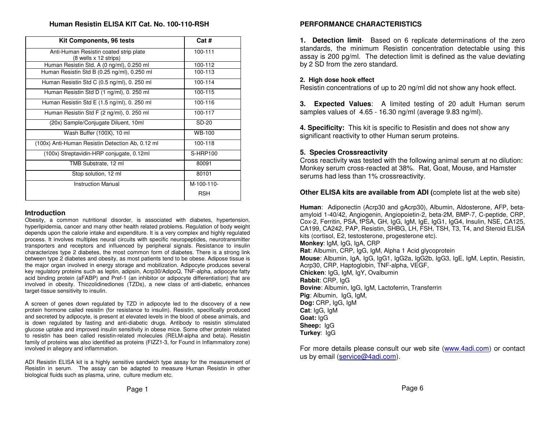### **HumanResistinELISAKITCat. No. 100-110-RSH**

| Kit Components, 96 tests                                        | Cat #           |
|-----------------------------------------------------------------|-----------------|
| Anti-Human Resistin coated strip plate<br>(8 wells x 12 strips) | 100-111         |
| Human Resistin Std. A (0 ng/ml), 0.250 ml                       | 100-112         |
| Human Resistin Std B (0.25 ng/ml), 0.250 ml                     | 100-113         |
| Human Resistin Std C (0.5 ng/ml), 0. 250 ml                     | 100-114         |
| Human Resistin Std D (1 ng/ml), 0. 250 ml                       | 100-115         |
| Human Resistin Std E (1.5 ng/ml), 0. 250 ml                     | 100-116         |
| Human Resistin Std F (2 ng/ml), 0. 250 ml                       | 100-117         |
| (20x) Sample/Conjugate Diluent, 10ml                            | SD-20           |
| Wash Buffer (100X), 10 ml                                       | WB-100          |
| (100x) Anti-Human Resistin Detection Ab, 0.12 ml                | 100-118         |
| (100x) Streptavidin-HRP conjugate, 0.12ml                       | <b>S-HRP100</b> |
| TMB Substrate, 12 ml                                            | 80091           |
| Stop solution, 12 ml                                            | 80101           |
| <b>Instruction Manual</b>                                       | M-100-110-      |
|                                                                 | <b>RSH</b>      |

#### **Introduction**

Obesity, <sup>a</sup> com mon nutritional disorder, is associated with diabetes, hypertension, hyperlipidemia, cancer and many other health related problems. Regulation of body weight depends upon the calorie intake and expenditure. It is <sup>a</sup> very complex and highly regulated process. It involves multiples neural circuits with specific neuropeptides, neurotransmitter transporters and receptors and influenced by peripheral signals. Resistance to insulin characterizes type 2 diabetes, the most com mon form of diabetes. There is <sup>a</sup> strong link between type 2 diabetes and obesity, as most patients tend to be obese. Adipose tissue is the major organ involved in energy storage and mobilization. Adipocyte produces several key regulatory proteins such as leptin, adipsin, Acrp30/AdipoQ, T NF-alpha, adipocyte fatty acid binding protein (aFABP) and Pref-1 (an inhibitor or adipocyte differentiation) that are involved in obesity. Thiozolidinediones (TZDs), <sup>a</sup> new class of anti-diabetic, enhances target-tissue sensitivity to insulin.

A screen of genes down regulated by TZD in adipocyte led to the discovery of <sup>a</sup> new protein hormone called resistin (for resistance to insulin). Resistin, specifically produced and secreted by adipocyte, is present at elevated levels in the blood of obese animals, and is down regulated by fasting and anti-diabetic drugs. Antibody to resistin stimulated glucose uptake and improved insulin sensitivity in obese mice. Some other protein related to resistin has been called resistin-related molecules (RELM-alpha and beta). Resistin family of proteins was also identified as proteins (FIZZ1-3, for Found in Inflam matory zone) involved in allegory and inflam mation.

ADI Resistin ELISA kit is a highly sensitive sandwich type assay for the measurement of Resistin in serum. The assay can be adapted to measure Human Resistin in other biological fluids such as plasma, urine, culture medium etc.

### **PERFORMANCECHARACTERISTICS**

**1. Detection limit**- Based on 6 replicate determinations of the zero stand ards, the minimum R esistin concentration d etecta ble using this assay is 200 pg/ml. The detection limit is defined as the value deviating b y 2 SD fro m the zero stand ard.

### **2. High d ose ho ok effect**

Resistin concentrations of up to 20 ng/ml did not show any hook effect.

**3. Expected Values**: A limited testing of 20 adult Human serum samples values of 4.65 - 16.30 ng/ml (average 9.83 ng/ml).

**4. Specificity:** This kit is specific to Resistin and does not show any significant re activity to other Human serumproteins.

### **5. Sp eciesCrossreactivity**

Cross reactivity was tested with the following animal serum at no dilution: Monkey serum cross-re actedat 38%. Rat, G oat, M ouse, and Hamster serums ha d less than 1% crossre activity.

### **Other ELISAkitsareavailable fromADI (**co mplete list at the web site)

**Human**: Adiponectin (Acrp30 and gAcrp30), Albumin, Aldosterone, AFP, betaamyloid 1-40/42, Angiogenin, Angiopoietin-2, beta-2M, B M P-7, C-peptide, C R P, Cox-2, Ferritin, PSA, fPSA, GH, IgG, IgM, IgE, IgG1, IgG4, Insulin, NSE, CA125, CA199, CA242, PAP, Resistin, SHBG, LH, FSH, TSH, T3, T4, and Steroid ELISA kits (cortisol, E2, testosterone, progesterone etc). **Monkey**: IgM, IgG, IgA, C RP**Rat**: Albumin, CRP, IgG, IgM, Alpha 1 Acid glycoprotein **Mouse**: Albumin, IgA, IgG, IgG1, IgG2a, IgG2b, IgG3, IgE, IgM, Leptin, Resistin, Acrp30, C RP, Haptoglobin, T NF-alpha, V EGF, **Chicken**: IgG, IgM, IgY, Ovalbumin **Rabbit**: CRP, IgG **B o vine**: Albumin, IgG, IgM, Lactoferrin, Transferrin **Pig**: Albumin, IgG, IgM, **D o g:** C R P, IgG, IgM **Cat**: IgG, IgM **G oat:** IgG **She e p:** IgG **Turkey**: IgG

For more details please consult our web site (www.4adi.com) or contact us by email (<u>service@4adi.com</u>).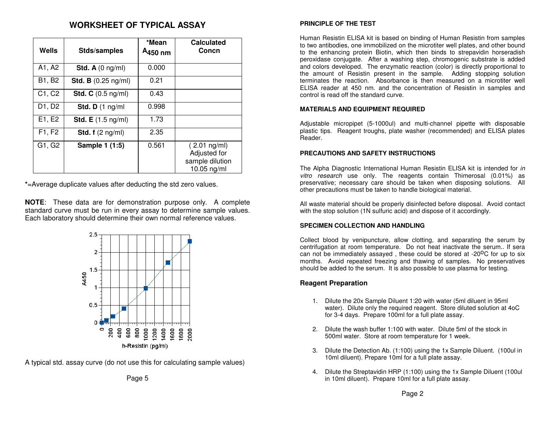# **WORKSHEET OF TYPICAL ASSAY**

| Wells  | Stds/samples                         | *Mean<br>A <sub>450</sub> nm | <b>Calculated</b><br>Concn                                       |
|--------|--------------------------------------|------------------------------|------------------------------------------------------------------|
| A1, A2 | Std. A $(0 \text{ ng/ml})$           | 0.000                        |                                                                  |
| B1, B2 | <b>Std. B</b> $(0.25 \text{ ng/ml})$ | 0.21                         |                                                                  |
| C1, C2 | Std. C $(0.5 \text{ ng/ml})$         | 0.43                         |                                                                  |
| D1, D2 | Std. $D(1)$ ng/ml                    | 0.998                        |                                                                  |
| E1, E2 | <b>Std. E</b> $(1.5 \text{ ng/ml})$  | 1.73                         |                                                                  |
| F1, F2 | Std. $f(2 \nmid m)$                  | 2.35                         |                                                                  |
| G1, G2 | Sample 1 (1:5)                       | 0.561                        | $(2.01$ ng/ml)<br>Adjusted for<br>sample dilution<br>10.05 ng/ml |

**\*** =Average duplicate values after deducting the std zero values.

**NOTE**: These data are for demonstration purpose only. A complete standard curve must be run in every assay to determine sample values. Each laboratory should determine their own normal reference values.



A typical std. assay curve (do not use this for calculating sample values)

Page 5

### **PRINCIPLE OF THE TEST**

Human Resistin ELISA kit is based on binding of Human Resistin from samples to two antibodies, one immobilized on the microtiter well plates, and other bound to the enhancing protein Biotin, which then binds to strepavidin horseradish peroxidase conjugate. After <sup>a</sup> washing step, chromogenic substrate is added and colors developed. The enzymatic reaction (color) is directly proportional to the amount of Resistin present in the sample. Adding stopping solution terminates the reaction. Absorbance is then measured on a microtiter well ELISA reader at 450 nm. and the concentration of Resistin in samples and control is read off the standard curve.

### **MATERIALS AND EQUIPMENT REQUIRED**

Adjustable micropipet (5-1000ul) and multi-channel pipette with disposable plastic tips. Reagent troughs, plate washer (recommended) and ELISA plates Reader.

### **PRECAUTIONS AND SAFETY INSTRUCTIONS**

The Alpha Diagnostic International Human Resistin ELISA kit is intended for *in vitro research* use only. The reagents contain Thimerosal (0.01%) as preservative; necessary care should be taken when disposing solutions. All other precautions must be taken to handle biological material.

All waste material should be properly disinfected before disposal. Avoid contact with the stop solution (1N sulfuric acid) and dispose of it accordingly.

### **SPECIMEN COLLECTION AND HANDLING**

Collect blood by venipuncture, allow clotting, and separating the serum by centrifugation at room temperature. Do not heat inactivate the serum.. If sera can not be immediately assayed, these could be stored at -20<sup>o</sup>C for up to six months. Avoid repeated freezing and thawing of samples. No preservatives should be added to the serum. It is also possible to use plasma for testing.

### **Reagent Preparation**

- 1. Dilute the 20x Sample Diluent 1:20 with water (5ml diluent in 95ml water). Dilute only the required reagent. Store diluted solution at 4oC for 3-4 days. Prepare 100ml for <sup>a</sup> full plate assay.
- 2. Dilute the wash buffer 1:100 with water. Dilute 5ml of the stock in 500ml water. Store at room temperature for 1 week.
- 3. Dilute the Detection Ab. (1:100) using the 1x Sample Diluent. (100ul in 10ml diluent). Prepare 10ml for <sup>a</sup> full plate assay.
- 4. Dilute the Streptavidin HRP (1:100) using the 1x Sample Diluent (100ul in 10ml diluent). Prepare 10ml for <sup>a</sup> full plate assay.